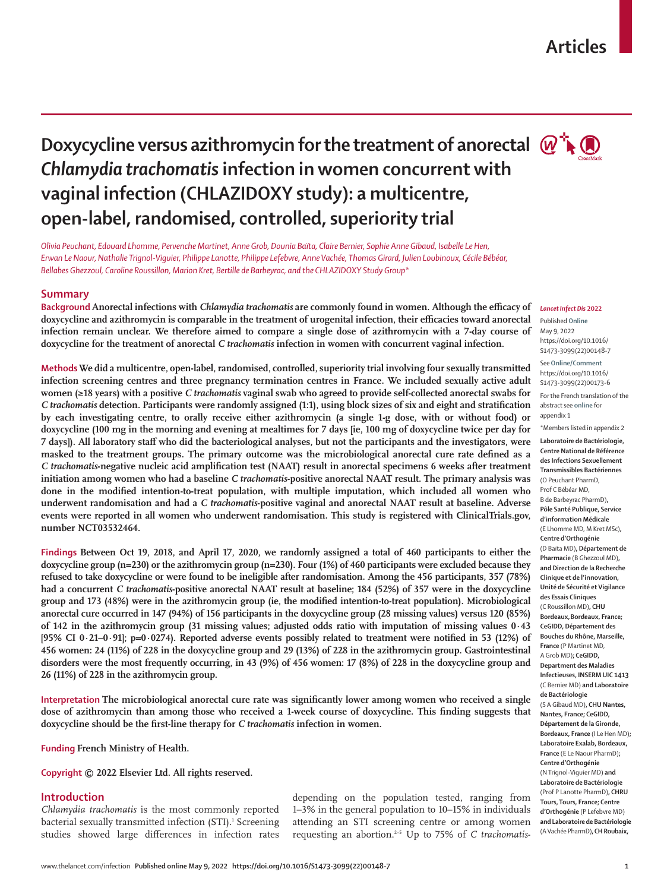# **Articles**

# **Doxycycline versus azithromycin for the treatment of anorectal**  $\mathbb{Q}^n$ **.** *Chlamydia trachomatis* **infection in women concurrent with vaginal infection (CHLAZIDOXY study): a multicentre, open-label, randomised, controlled, superiority trial**



*Olivia Peuchant, Edouard Lhomme, Pervenche Martinet, Anne Grob, Dounia Baïta, Claire Bernier, Sophie Anne Gibaud, Isabelle Le Hen, Erwan Le Naour, Nathalie Trignol-Viguier, Philippe Lanotte, Philippe Lefebvre, Anne Vachée, Thomas Girard, Julien Loubinoux, Cécile Bébéar, Bellabes Ghezzoul, Caroline Roussillon, Marion Kret, Bertille de Barbeyrac, and the CHLAZIDOXY Study Group\**

# **Summary**

*Lancet Infect Dis* **2022 Background Anorectal infections with** *Chlamydia trachomatis* **are commonly found in women. Although the efficacy of doxycycline and azithromycin is comparable in the treatment of urogenital infection, their efficacies toward anorectal infection remain unclear. We therefore aimed to compare a single dose of azithromycin with a 7-day course of doxycycline for the treatment of anorectal** *C trachomatis* **infection in women with concurrent vaginal infection.**

**Methods We did a multicentre, open-label, randomised, controlled, superiority trial involving four sexually transmitted infection screening centres and three pregnancy termination centres in France. We included sexually active adult women (≥18 years) with a positive** *C trachomatis* **vaginal swab who agreed to provide self-collected anorectal swabs for**  *C trachomatis* **detection. Participants were randomly assigned (1:1), using block sizes of six and eight and stratification by each investigating centre, to orally receive either azithromycin (a single 1-g dose, with or without food) or doxycycline (100 mg in the morning and evening at mealtimes for 7 days [ie, 100 mg of doxycycline twice per day for 7 days]). All laboratory staff who did the bacteriological analyses, but not the participants and the investigators, were masked to the treatment groups. The primary outcome was the microbiological anorectal cure rate defined as a**  *C trachomatis***-negative nucleic acid amplification test (NAAT) result in anorectal specimens 6 weeks after treatment initiation among women who had a baseline** *C trachomatis***-positive anorectal NAAT result. The primary analysis was done in the modified intention-to-treat population, with multiple imputation, which included all women who underwent randomisation and had a** *C trachomatis***-positive vaginal and anorectal NAAT result at baseline. Adverse events were reported in all women who underwent randomisation. This study is registered with ClinicalTrials.gov, number NCT03532464.**

**Findings Between Oct 19, 2018, and April 17, 2020, we randomly assigned a total of 460 participants to either the doxycycline group (n=230) or the azithromycin group (n=230). Four (1%) of 460 participants were excluded because they refused to take doxycycline or were found to be ineligible after randomisation. Among the 456 participants, 357 (78%) had a concurrent** *C trachomatis***-positive anorectal NAAT result at baseline; 184 (52%) of 357 were in the doxycycline group and 173 (48%) were in the azithromycin group (ie, the modified intention-to-treat population). Microbiological anorectal cure occurred in 147 (94%) of 156 participants in the doxycycline group (28 missing values) versus 120 (85%) of 142 in the azithromycin group (31 missing values; adjusted odds ratio with imputation of missing values 0·43 [95% CI 0·21–0·91]; p=0·0274). Reported adverse events possibly related to treatment were notified in 53 (12%) of 456 women: 24 (11%) of 228 in the doxycycline group and 29 (13%) of 228 in the azithromycin group. Gastrointestinal disorders were the most frequently occurring, in 43 (9%) of 456 women: 17 (8%) of 228 in the doxycycline group and 26 (11%) of 228 in the azithromycin group.**

**Interpretation The microbiological anorectal cure rate was significantly lower among women who received a single dose of azithromycin than among those who received a 1-week course of doxycycline. This finding suggests that doxycycline should be the first-line therapy for** *C trachomatis* **infection in women.**

**Funding French Ministry of Health.**

**Copyright © 2022 Elsevier Ltd. All rights reserved.**

# **Introduction**

*Chlamydia trachomatis* is the most commonly reported bacterial sexually transmitted infection (STI).<sup>1</sup> Screening studies showed large differences in infection rates depending on the population tested, ranging from 1–3% in the general population to 10–15% in individuals attending an STI screening centre or among women requesting an abortion.2–5 Up to 75% of *C trachomatis*-

Published **Online** May 9, 2022 https://doi.org/10.1016/ S1473-3099(22)00148-7

See**Online/Comment** https://doi.org/10.1016/ S1473-3099(22)00173-6 For the French translation of the abstract see **online** for appendix 1

\*Members listed in appendix 2

**Laboratoire de Bactériologie, Centre National de Référence des Infections Sexuellement Transmissibles Bactériennes**  (O Peuchant PharmD, Prof C Bébéar MD, B de Barbeyrac PharmD)**, Pôle Santé Publique, Service d'information Médicale**  (E Lhomme MD, M Kret MSc)**, Centre d'Orthogénie**  (D Baïta MD)**, Département de Pharmacie** (B Ghezzoul MD)**, and Direction de la Recherche Clinique et de l'innovation, Unité de Sécurité et Vigilance des Essais Cliniques**  (C Roussillon MD)**, CHU Bordeaux,Bordeaux, France; CeGIDD, Département des Bouches du Rhône, Marseille, France** (P Martinet MD, A Grob MD)**; CeGIDD, Department des Maladies Infectieuses, INSERM UIC 1413**  (C Bernier MD) **and Laboratoire de Bactériologie**  (S A Gibaud MD)**, CHU Nantes, Nantes, France; CeGIDD, Département de la Gironde, Bordeaux, France** (I Le Hen MD)**; Laboratoire Exalab, Bordeaux, France** (E Le Naour PharmD)**; Centre d'Orthogénie**  (N Trignol-Viguier MD) **and Laboratoire de Bactériologie**  (Prof P Lanotte PharmD)**, CHRU Tours, Tours, France; Centre d'Orthogénie** (P Lefebvre MD) **and Laboratoire de Bactériologie**  (A Vachée PharmD)**, CH Roubaix,**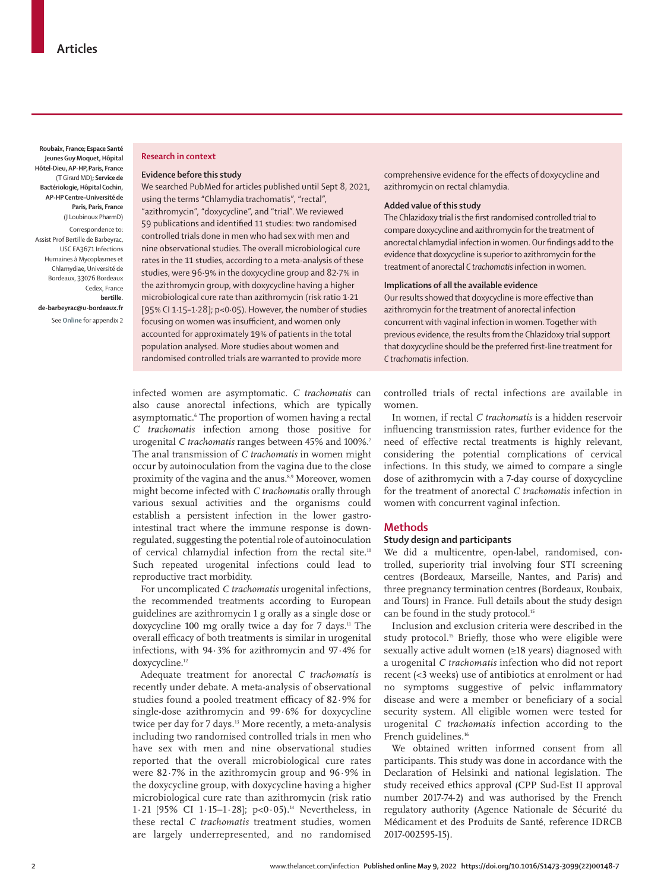**Roubaix, France; Espace Santé Jeunes Guy Moquet, Hôpital Hôtel-Dieu, AP-HP,Paris, France** (T Girard MD)**; Service de Bactériologie, Hôpital Cochin, AP-HP Centre–Université de Paris, Paris, France**  (J Loubinoux PharmD)

Correspondence to: Assist Prof Bertille de Barbeyrac, USC EA3671 Infections Humaines à Mycoplasmes et Chlamydiae, Université de Bordeaux, 33076 Bordeaux Cedex, France **bertille. de-barbeyrac@u-bordeaux.fr** See **Online** for appendix 2

# **Research in context**

#### **Evidence before this study**

We searched PubMed for articles published until Sept 8, 2021, using the terms "Chlamydia trachomatis", "rectal", "azithromycin", "doxycycline", and "trial". We reviewed 59 publications and identified 11 studies: two randomised controlled trials done in men who had sex with men and nine observational studies. The overall microbiological cure rates in the 11 studies, according to a meta-analysis of these studies, were 96·9% in the doxycycline group and 82·7% in the azithromycin group, with doxycycline having a higher microbiological cure rate than azithromycin (risk ratio 1·21 [95% CI 1·15–1·28]; p<0·05). However, the number of studies focusing on women was insufficient, and women only accounted for approximately 19% of patients in the total population analysed. More studies about women and randomised controlled trials are warranted to provide more

infected women are asymptomatic. *C trachomatis* can also cause anorectal infections, which are typically asymptomatic.6 The proportion of women having a rectal *C trachomatis* infection among those positive for urogenital *C trachomatis* ranges between 45% and 100%.7 The anal transmission of *C trachomatis* in women might occur by autoinoculation from the vagina due to the close proximity of the vagina and the anus.<sup>8,9</sup> Moreover, women might become infected with *C trachomatis* orally through various sexual activities and the organisms could establish a persistent infection in the lower gastrointestinal tract where the immune response is downregulated, suggesting the potential role of autoinoculation of cervical chlamydial infection from the rectal site.<sup>10</sup> Such repeated urogenital infections could lead to reproductive tract morbidity.

For uncomplicated *C trachomatis* urogenital infections, the recommended treatments according to European guidelines are azithromycin 1 g orally as a single dose or doxycycline 100 mg orally twice a day for 7 days.<sup>11</sup> The overall efficacy of both treatments is similar in urogenital infections, with 94·3% for azithromycin and 97·4% for doxycycline.<sup>12</sup>

Adequate treatment for anorectal *C trachomatis* is recently under debate. A meta-analysis of observational studies found a pooled treatment efficacy of 82·9% for single-dose azithromycin and 99·6% for doxycycline twice per day for 7 days.<sup>13</sup> More recently, a meta-analysis including two randomised controlled trials in men who have sex with men and nine observational studies reported that the overall microbiological cure rates were 82·7% in the azithromycin group and 96·9% in the doxycycline group, with doxycycline having a higher microbiological cure rate than azithromycin (risk ratio 1·21 [95% CI 1·15-1·28];  $p<0.05$ ).<sup>14</sup> Nevertheless, in these rectal *C trachomatis* treatment studies, women are largely underrepresented, and no randomised

comprehensive evidence for the effects of doxycycline and azithromycin on rectal chlamydia.

# **Added value of this study**

The Chlazidoxy trial is the first randomised controlled trial to compare doxycycline and azithromycin for the treatment of anorectal chlamydial infection in women. Our findings add to the evidence that doxycycline is superior to azithromycin for the treatment of anorectal *C trachomatis* infection in women.

#### **Implications of all the available evidence**

Our results showed that doxycycline is more effective than azithromycin for the treatment of anorectal infection concurrent with vaginal infection in women. Together with previous evidence, the results from the Chlazidoxy trial support that doxycycline should be the preferred first-line treatment for *C trachomatis* infection.

controlled trials of rectal infections are available in women.

In women, if rectal *C trachomatis* is a hidden reservoir influencing transmission rates, further evidence for the need of effective rectal treatments is highly relevant, considering the potential complications of cervical infections. In this study, we aimed to compare a single dose of azithromycin with a 7-day course of doxycycline for the treatment of anorectal *C trachomatis* infection in women with concurrent vaginal infection.

### **Methods**

#### **Study design and participants**

We did a multicentre, open-label, randomised, controlled, superiority trial involving four STI screening centres (Bordeaux, Marseille, Nantes, and Paris) and three pregnancy termination centres (Bordeaux, Roubaix, and Tours) in France. Full details about the study design can be found in the study protocol.<sup>15</sup>

Inclusion and exclusion criteria were described in the study protocol.<sup>15</sup> Briefly, those who were eligible were sexually active adult women (≥18 years) diagnosed with a urogenital *C trachomatis* infection who did not report recent (<3 weeks) use of antibiotics at enrolment or had no symptoms suggestive of pelvic inflammatory disease and were a member or beneficiary of a social security system. All eligible women were tested for urogenital *C trachomatis* infection according to the French guidelines.<sup>16</sup>

We obtained written informed consent from all participants. This study was done in accordance with the Declaration of Helsinki and national legislation. The study received ethics approval (CPP Sud-Est II approval number 2017-74-2) and was authorised by the French regulatory authority (Agence Nationale de Sécurité du Médicament et des Produits de Santé, reference IDRCB 2017-002595-15).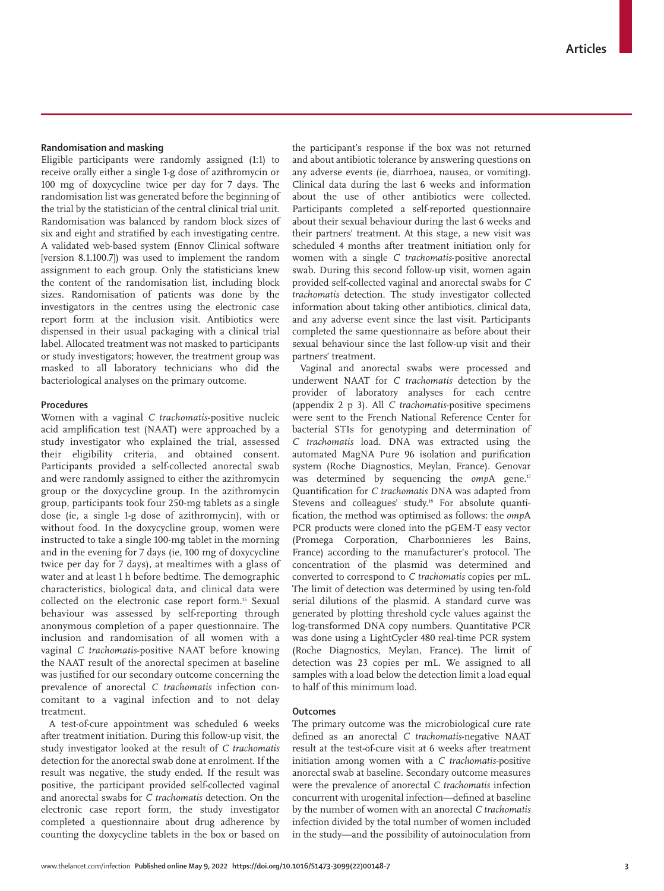# **Randomisation and masking**

Eligible participants were randomly assigned (1:1) to receive orally either a single 1-g dose of azithromycin or 100 mg of doxycycline twice per day for 7 days. The randomisation list was generated before the beginning of the trial by the statistician of the central clinical trial unit. Randomisation was balanced by random block sizes of six and eight and stratified by each investigating centre. A validated web-based system (Ennov Clinical software [version 8.1.100.7]) was used to implement the random assignment to each group. Only the statisticians knew the content of the randomisation list, including block sizes. Randomisation of patients was done by the investigators in the centres using the electronic case report form at the inclusion visit. Antibiotics were dispensed in their usual packaging with a clinical trial label. Allocated treatment was not masked to participants or study investigators; however, the treatment group was masked to all laboratory technicians who did the bacteriological analyses on the primary outcome.

# **Procedures**

Women with a vaginal *C trachomatis*-positive nucleic acid amplification test (NAAT) were approached by a study investigator who explained the trial, assessed their eligibility criteria, and obtained consent. Participants provided a self-collected anorectal swab and were randomly assigned to either the azithromycin group or the doxycycline group. In the azithromycin group, participants took four 250-mg tablets as a single dose (ie, a single 1-g dose of azithromycin), with or without food. In the doxycycline group, women were instructed to take a single 100-mg tablet in the morning and in the evening for 7 days (ie, 100 mg of doxycycline twice per day for 7 days), at mealtimes with a glass of water and at least 1 h before bedtime. The demographic characteristics, biological data, and clinical data were collected on the electronic case report form.<sup>15</sup> Sexual behaviour was assessed by self-reporting through anonymous completion of a paper questionnaire. The inclusion and randomisation of all women with a vaginal *C trachomatis*-positive NAAT before knowing the NAAT result of the anorectal specimen at baseline was justified for our secondary outcome concerning the prevalence of anorectal *C trachomatis* infection concomitant to a vaginal infection and to not delay treatment.

A test-of-cure appointment was scheduled 6 weeks after treatment initiation. During this follow-up visit, the study investigator looked at the result of *C trachomatis*  detection for the anorectal swab done at enrolment. If the result was negative, the study ended. If the result was positive, the participant provided self-collected vaginal and anorectal swabs for *C trachomatis* detection. On the electronic case report form, the study investigator completed a questionnaire about drug adherence by counting the doxycycline tablets in the box or based on the participant's response if the box was not returned and about antibiotic tolerance by answering questions on any adverse events (ie, diarrhoea, nausea, or vomiting). Clinical data during the last 6 weeks and information about the use of other antibiotics were collected. Participants completed a self-reported questionnaire about their sexual behaviour during the last 6 weeks and their partners' treatment. At this stage, a new visit was scheduled 4 months after treatment initiation only for women with a single *C trachomatis*-positive anorectal swab. During this second follow-up visit, women again provided self-collected vaginal and anorectal swabs for *C trachomatis* detection. The study investigator collected information about taking other antibiotics, clinical data, and any adverse event since the last visit. Participants completed the same questionnaire as before about their sexual behaviour since the last follow-up visit and their partners' treatment.

Vaginal and anorectal swabs were processed and underwent NAAT for *C trachomatis* detection by the provider of laboratory analyses for each centre (appendix 2 p 3). All *C trachomatis*-positive specimens were sent to the French National Reference Center for bacterial STIs for genotyping and determination of *C trachomatis* load. DNA was extracted using the automated MagNA Pure 96 isolation and purification system (Roche Diagnostics, Meylan, France). Genovar was determined by sequencing the *omp*A gene.<sup>17</sup> Quantification for *C trachomatis* DNA was adapted from Stevens and colleagues' study.<sup>18</sup> For absolute quantification, the method was optimised as follows: the *omp*A PCR products were cloned into the pGEM-T easy vector (Promega Corporation, Charbonnieres les Bains, France) according to the manufacturer's protocol. The concentration of the plasmid was determined and converted to correspond to *C trachomatis* copies per mL. The limit of detection was determined by using ten-fold serial dilutions of the plasmid. A standard curve was generated by plotting threshold cycle values against the log-transformed DNA copy numbers. Quantitative PCR was done using a LightCycler 480 real-time PCR system (Roche Diagnostics, Meylan, France). The limit of detection was 23 copies per mL. We assigned to all samples with a load below the detection limit a load equal to half of this minimum load.

#### **Outcomes**

The primary outcome was the microbiological cure rate defined as an anorectal *C trachomatis*-negative NAAT result at the test-of-cure visit at 6 weeks after treatment initiation among women with a *C trachomatis-*positive anorectal swab at baseline. Secondary outcome measures were the prevalence of anorectal *C trachomatis* infection concurrent with urogenital infection—defined at baseline by the number of women with an anorectal *C trachomatis* infection divided by the total number of women included in the study—and the possibility of autoinoculation from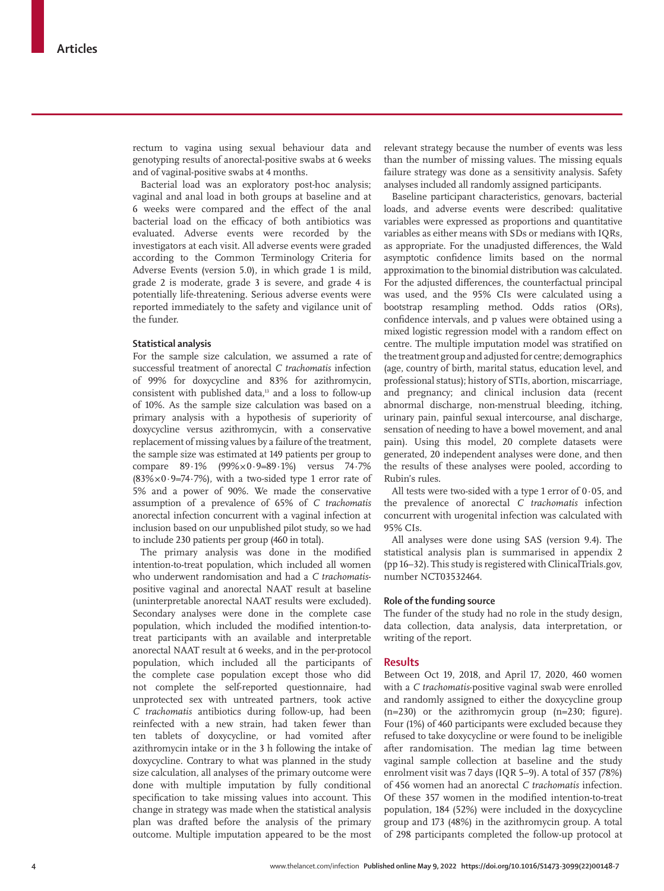rectum to vagina using sexual behaviour data and genotyping results of anorectal-positive swabs at 6 weeks and of vaginal-positive swabs at 4 months.

Bacterial load was an exploratory post-hoc analysis; vaginal and anal load in both groups at baseline and at 6 weeks were compared and the effect of the anal bacterial load on the efficacy of both antibiotics was evaluated. Adverse events were recorded by the investigators at each visit. All adverse events were graded according to the Common Terminology Criteria for Adverse Events (version 5.0), in which grade 1 is mild, grade 2 is moderate, grade 3 is severe, and grade 4 is potentially life-threatening. Serious adverse events were reported immediately to the safety and vigilance unit of the funder.

# **Statistical analysis**

For the sample size calculation, we assumed a rate of successful treatment of anorectal *C trachomatis* infection of 99% for doxycycline and 83% for azithromycin, consistent with published data,<sup>13</sup> and a loss to follow-up of 10%. As the sample size calculation was based on a primary analysis with a hypothesis of superiority of doxycycline versus azithromycin, with a conservative replacement of missing values by a failure of the treatment, the sample size was estimated at 149 patients per group to compare 89·1% (99%×0∙9=89·1%) versus 74·7% (83%×0∙9=74·7%), with a two-sided type 1 error rate of 5% and a power of 90%. We made the conservative assumption of a prevalence of 65% of *C trachomatis* anorectal infection concurrent with a vaginal infection at inclusion based on our unpublished pilot study, so we had to include 230 patients per group (460 in total).

The primary analysis was done in the modified intention-to-treat population, which included all women who underwent randomisation and had a *C trachomatis*positive vaginal and anorectal NAAT result at baseline (uninterpretable anorectal NAAT results were excluded). Secondary analyses were done in the complete case population, which included the modified intention-totreat participants with an available and interpretable anorectal NAAT result at 6 weeks, and in the per-protocol population, which included all the participants of the complete case population except those who did not complete the self-reported questionnaire, had unprotected sex with untreated partners, took active *C trachomatis* antibiotics during follow-up, had been reinfected with a new strain, had taken fewer than ten tablets of doxycycline, or had vomited after azithromycin intake or in the 3 h following the intake of doxycycline. Contrary to what was planned in the study size calculation, all analyses of the primary outcome were done with multiple imputation by fully conditional specification to take missing values into account. This change in strategy was made when the statistical analysis plan was drafted before the analysis of the primary outcome. Multiple imputation appeared to be the most relevant strategy because the number of events was less than the number of missing values. The missing equals failure strategy was done as a sensitivity analysis. Safety analyses included all randomly assigned participants.

Baseline participant characteristics, genovars, bacterial loads, and adverse events were described: qualitative variables were expressed as proportions and quantitative variables as either means with SDs or medians with IQRs, as appropriate. For the unadjusted differences, the Wald asymptotic confidence limits based on the normal approximation to the binomial distribution was calculated. For the adjusted differences, the counterfactual principal was used, and the 95% CIs were calculated using a bootstrap resampling method. Odds ratios (ORs), confidence intervals, and p values were obtained using a mixed logistic regression model with a random effect on centre. The multiple imputation model was stratified on the treatment group and adjusted for centre; demographics (age, country of birth, marital status, education level, and professional status); history of STIs, abortion, miscarriage, and pregnancy; and clinical inclusion data (recent abnormal discharge, non-menstrual bleeding, itching, urinary pain, painful sexual intercourse, anal discharge, sensation of needing to have a bowel movement, and anal pain). Using this model, 20 complete datasets were generated, 20 independent analyses were done, and then the results of these analyses were pooled, according to Rubin's rules.

All tests were two-sided with a type 1 error of 0∙05, and the prevalence of anorectal *C trachomatis* infection concurrent with urogenital infection was calculated with 95% CIs.

All analyses were done using SAS (version 9.4). The statistical analysis plan is summarised in appendix 2 (pp 16–32). This study is registered with ClinicalTrials.gov, number NCT03532464.

#### **Role of the funding source**

The funder of the study had no role in the study design, data collection, data analysis, data interpretation, or writing of the report.

# **Results**

Between Oct 19, 2018, and April 17, 2020, 460 women with a *C trachomatis*-positive vaginal swab were enrolled and randomly assigned to either the doxycycline group  $(n=230)$  or the azithromycin group  $(n=230;$  figure). Four (1%) of 460 participants were excluded because they refused to take doxycycline or were found to be ineligible after randomisation. The median lag time between vaginal sample collection at baseline and the study enrolment visit was 7 days (IQR 5–9). A total of 357 (78%) of 456 women had an anorectal *C trachomatis* infection. Of these 357 women in the modified intention-to-treat population, 184 (52%) were included in the doxycycline group and 173 (48%) in the azithromycin group. A total of 298 participants completed the follow-up protocol at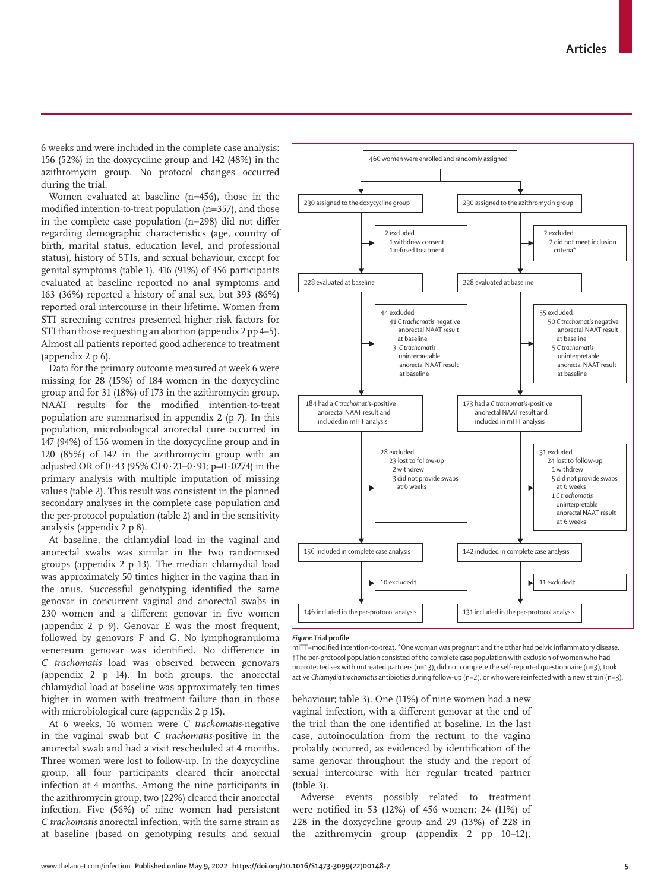6 weeks and were included in the complete case analysis: 156 (52%) in the doxycycline group and 142 (48%) in the azithromycin group. No protocol changes occurred during the trial.

Women evaluated at baseline (n=456), those in the modified intention-to-treat population (n=357), and those in the complete case population (n=298) did not differ regarding demographic characteristics (age, country of birth, marital status, education level, and professional status), history of STIs, and sexual behaviour, except for genital symptoms (table 1). 416 (91%) of 456 participants evaluated at baseline reported no anal symptoms and 163 (36%) reported a history of anal sex, but 393 (86%) reported oral intercourse in their lifetime. Women from STI screening centres presented higher risk factors for STI than those requesting an abortion (appendix 2 pp 4–5). Almost all patients reported good adherence to treatment (appendix 2 p 6).

Data for the primary outcome measured at week 6 were missing for 28 (15%) of 184 women in the doxycycline group and for 31 (18%) of 173 in the azithromycin group. NAAT results for the modified intention-to-treat population are summarised in appendix 2 (p 7). In this population, microbiological anorectal cure occurred in 147 (94%) of 156 women in the doxycycline group and in 120 (85%) of 142 in the azithromycin group with an adjusted OR of 0·43 (95% CI 0·21–0·91; p=0·0274) in the primary analysis with multiple imputation of missing values (table 2). This result was consistent in the planned secondary analyses in the complete case population and the per-protocol population (table 2) and in the sensitivity analysis (appendix 2 p 8).

At baseline, the chlamydial load in the vaginal and anorectal swabs was similar in the two randomised groups (appendix 2 p 13). The median chlamydial load was approximately 50 times higher in the vagina than in the anus. Successful genotyping identified the same genovar in concurrent vaginal and anorectal swabs in 230 women and a different genovar in five women (appendix 2 p 9). Genovar E was the most frequent, followed by genovars F and G. No lymphogranuloma venereum genovar was identified. No difference in *C trachomatis* load was observed between genovars (appendix 2 p 14). In both groups, the anorectal chlamydial load at baseline was approximately ten times higher in women with treatment failure than in those with microbiological cure (appendix 2 p 15).

At 6 weeks, 16 women were *C trachomatis*-negative in the vaginal swab but *C trachomatis*-positive in the anorectal swab and had a visit rescheduled at 4 months. Three women were lost to follow-up. In the doxycycline group, all four participants cleared their anorectal infection at 4 months. Among the nine participants in the azithromycin group, two (22%) cleared their anorectal infection. Five (56%) of nine women had persistent *C trachomatis* anorectal infection, with the same strain as at baseline (based on genotyping results and sexual



### *Figure:* **Trial profile**

mITT=modified intention-to-treat. \*One woman was pregnant and the other had pelvic inflammatory disease. †The per-protocol population consisted of the complete case population with exclusion of women who had unprotected sex with untreated partners (n=13), did not complete the self-reported questionnaire (n=3), took active *Chlamydia trachomatis* antibiotics during follow-up (n=2), or who were reinfected with a new strain (n=3).

behaviour; table 3). One (11%) of nine women had a new vaginal infection, with a different genovar at the end of the trial than the one identified at baseline. In the last case, autoinoculation from the rectum to the vagina probably occurred, as evidenced by identification of the same genovar throughout the study and the report of sexual intercourse with her regular treated partner (table 3).

Adverse events possibly related to treatment were notified in 53 (12%) of 456 women; 24 (11%) of 228 in the doxycycline group and 29 (13%) of 228 in the azithromycin group (appendix 2 pp 10–12).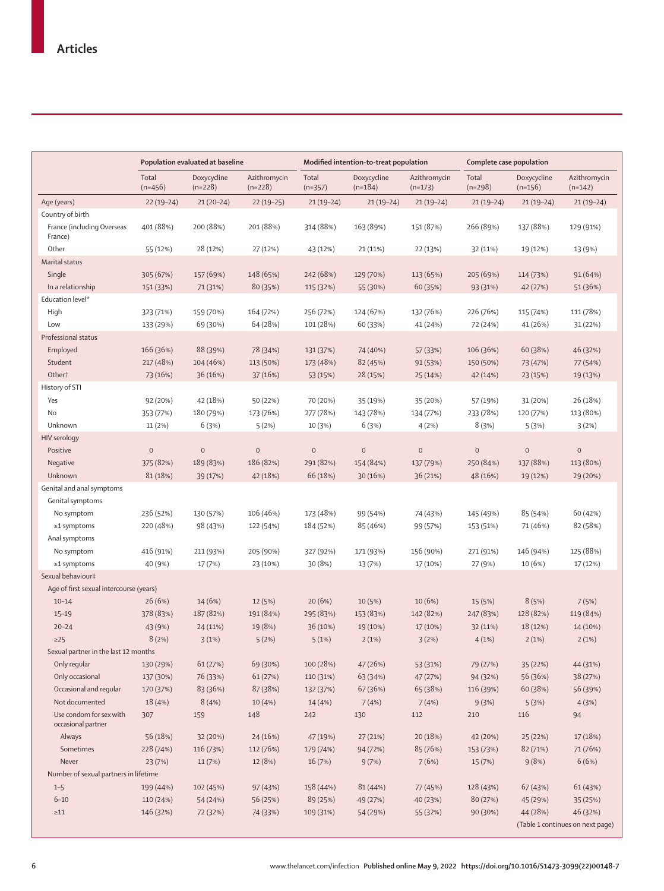|                                               | Population evaluated at baseline |                          |                           | Modified intention-to-treat population |                          |                           | Complete case population |                          |                                  |
|-----------------------------------------------|----------------------------------|--------------------------|---------------------------|----------------------------------------|--------------------------|---------------------------|--------------------------|--------------------------|----------------------------------|
|                                               | Total<br>$(n=456)$               | Doxycycline<br>$(n=228)$ | Azithromycin<br>$(n=228)$ | Total<br>$(n=357)$                     | Doxycycline<br>$(n=184)$ | Azithromycin<br>$(n=173)$ | Total<br>$(n=298)$       | Doxycycline<br>$(n=156)$ | Azithromycin<br>$(n=142)$        |
| Age (years)                                   | $22(19-24)$                      | $21(20-24)$              | $22(19-25)$               | $21(19-24)$                            | $21(19-24)$              | $21(19-24)$               | $21(19-24)$              | $21(19-24)$              | $21(19-24)$                      |
| Country of birth                              |                                  |                          |                           |                                        |                          |                           |                          |                          |                                  |
| France (including Overseas<br>France)         | 401 (88%)                        | 200 (88%)                | 201 (88%)                 | 314 (88%)                              | 163 (89%)                | 151 (87%)                 | 266 (89%)                | 137 (88%)                | 129 (91%)                        |
| Other                                         | 55 (12%)                         | 28 (12%)                 | 27 (12%)                  | 43 (12%)                               | 21 (11%)                 | 22 (13%)                  | 32 (11%)                 | 19 (12%)                 | 13 (9%)                          |
| Marital status                                |                                  |                          |                           |                                        |                          |                           |                          |                          |                                  |
| Single                                        | 305 (67%)                        | 157 (69%)                | 148 (65%)                 | 242 (68%)                              | 129 (70%)                | 113 (65%)                 | 205 (69%)                | 114 (73%)                | 91 (64%)                         |
| In a relationship                             | 151 (33%)                        | 71 (31%)                 | 80 (35%)                  | 115 (32%)                              | 55 (30%)                 | 60 (35%)                  | 93 (31%)                 | 42 (27%)                 | 51 (36%)                         |
| Education level*                              |                                  |                          |                           |                                        |                          |                           |                          |                          |                                  |
| High                                          | 323 (71%)                        | 159 (70%)                | 164 (72%)                 | 256 (72%)                              | 124 (67%)                | 132 (76%)                 | 226 (76%)                | 115 (74%)                | 111 (78%)                        |
| Low                                           | 133 (29%)                        | 69 (30%)                 | 64 (28%)                  | 101 (28%)                              | 60 (33%)                 | 41 (24%)                  | 72 (24%)                 | 41 (26%)                 | 31 (22%)                         |
| Professional status                           |                                  |                          |                           |                                        |                          |                           |                          |                          |                                  |
| Employed                                      | 166 (36%)                        | 88 (39%)                 | 78 (34%)                  | 131 (37%)                              | 74 (40%)                 | 57 (33%)                  | 106 (36%)                | 60 (38%)                 | 46 (32%)                         |
| Student                                       | 217 (48%)                        | 104 (46%)                | 113 (50%)                 | 173 (48%)                              | 82 (45%)                 | 91 (53%)                  | 150 (50%)                | 73 (47%)                 | 77 (54%)                         |
| Other <sup>+</sup>                            | 73 (16%)                         | 36 (16%)                 | 37(16%)                   | 53 (15%)                               | 28 (15%)                 | 25 (14%)                  | 42 (14%)                 | 23 (15%)                 | 19 (13%)                         |
| History of STI                                |                                  |                          |                           |                                        |                          |                           |                          |                          |                                  |
| Yes                                           | 92 (20%)                         | 42 (18%)                 | 50 (22%)                  | 70 (20%)                               | 35 (19%)                 | 35 (20%)                  | 57 (19%)                 | 31 (20%)                 | 26 (18%)                         |
| <b>No</b>                                     | 353 (77%)                        | 180 (79%)                | 173 (76%)                 | 277 (78%)                              | 143 (78%)                | 134 (77%)                 | 233 (78%)                | 120 (77%)                | 113 (80%)                        |
| Unknown                                       | 11 (2%)                          | 6(3%)                    | 5(2%)                     | 10 (3%)                                | 6(3%)                    | 4(2%)                     | 8(3%)                    | 5(3%)                    | 3(2%)                            |
| <b>HIV</b> serology                           |                                  |                          |                           |                                        |                          |                           |                          |                          |                                  |
| Positive                                      | $\mathbf{0}$                     | $\mathbf 0$              | $\bf 0$                   | $\mathbf{0}$                           | $\mathbf{0}$             | $\mathbf 0$               | $\bf 0$                  | $\mathbf 0$              | $\mathbf 0$                      |
| Negative                                      | 375 (82%)                        | 189 (83%)                | 186 (82%)                 | 291 (82%)                              | 154 (84%)                | 137 (79%)                 | 250 (84%)                | 137 (88%)                | 113 (80%)                        |
| Unknown                                       | 81 (18%)                         | 39 (17%)                 | 42 (18%)                  | 66 (18%)                               | 30(16%)                  | 36 (21%)                  | 48 (16%)                 | 19 (12%)                 | 29 (20%)                         |
| Genital and anal symptoms                     |                                  |                          |                           |                                        |                          |                           |                          |                          |                                  |
|                                               |                                  |                          |                           |                                        |                          |                           |                          |                          |                                  |
| Genital symptoms                              |                                  |                          |                           |                                        |                          |                           |                          |                          |                                  |
| No symptom                                    | 236 (52%)                        | 130 (57%)                | 106 (46%)                 | 173 (48%)                              | 99 (54%)                 | 74 (43%)                  | 145 (49%)                | 85 (54%)                 | 60 (42%)                         |
| $\geq$ 1 symptoms                             | 220 (48%)                        | 98 (43%)                 | 122 (54%)                 | 184 (52%)                              | 85 (46%)                 | 99 (57%)                  | 153 (51%)                | 71 (46%)                 | 82 (58%)                         |
| Anal symptoms                                 |                                  |                          |                           |                                        |                          |                           |                          |                          |                                  |
| No symptom                                    | 416 (91%)                        | 211 (93%)                | 205 (90%)                 | 327 (92%)                              | 171 (93%)                | 156 (90%)                 | 271 (91%)                | 146 (94%)                | 125 (88%)                        |
| $\geq$ 1 symptoms                             | 40 (9%)                          | 17 (7%)                  | 23 (10%)                  | 30(8%)                                 | 13 (7%)                  | 17 (10%)                  | 27 (9%)                  | 10 (6%)                  | 17 (12%)                         |
| Sexual behaviour‡                             |                                  |                          |                           |                                        |                          |                           |                          |                          |                                  |
| Age of first sexual intercourse (years)       |                                  |                          |                           |                                        |                          |                           |                          |                          |                                  |
| $10 - 14$                                     | 26(6%)                           | 14 (6%)                  | 12 (5%)                   | 20(6%)                                 | 10(5%)                   | 10(6%)                    | 15 (5%)                  | 8(5%)                    | 7(5%)                            |
| $15 - 19$                                     | 378 (83%)                        | 187 (82%)                | 191 (84%)                 | 295 (83%)                              | 153 (83%)                | 142 (82%)                 | 247 (83%)                | 128 (82%)                | 119 (84%)                        |
| $20 - 24$                                     | 43 (9%)                          | 24 (11%)                 | 19 (8%)                   | 36 (10%)                               | 19 (10%)                 | 17 (10%)                  | 32 (11%)                 | 18 (12%)                 | 14 (10%)                         |
| $\geq$ 25                                     | 8(2%)                            | 3(1%)                    | 5(2%)                     | 5(1%)                                  | 2(1%)                    | 3(2%)                     | 4(1%)                    | 2(1%)                    | 2(1%)                            |
| Sexual partner in the last 12 months          |                                  |                          |                           |                                        |                          |                           |                          |                          |                                  |
| Only regular                                  | 130 (29%)                        | 61(27%)                  | 69 (30%)                  | 100 (28%)                              | 47 (26%)                 | 53 (31%)                  | 79 (27%)                 | 35 (22%)                 | 44 (31%)                         |
| Only occasional                               | 137 (30%)                        | 76 (33%)                 | 61(27%)                   | 110 (31%)                              | 63 (34%)                 | 47 (27%)                  | 94 (32%)                 | 56 (36%)                 | 38 (27%)                         |
| Occasional and regular                        | 170 (37%)                        | 83 (36%)                 | 87 (38%)                  | 132 (37%)                              | 67 (36%)                 | 65 (38%)                  | 116 (39%)                | 60 (38%)                 | 56 (39%)                         |
| Not documented                                | 18 (4%)                          | 8(4%)                    | 10 (4%)                   | 14 (4%)                                | 7(4%)                    | 7(4%)                     | 9(3%)                    | 5(3%)                    | 4(3%)                            |
| Use condom for sex with<br>occasional partner | 307                              | 159                      | 148                       | 242                                    | 130                      | 112                       | 210                      | 116                      | 94                               |
| Always                                        | 56 (18%)                         | 32 (20%)                 | 24 (16%)                  | 47 (19%)                               | 27 (21%)                 | 20 (18%)                  | 42 (20%)                 | 25 (22%)                 | 17 (18%)                         |
| Sometimes                                     | 228 (74%)                        | 116 (73%)                | 112 (76%)                 | 179 (74%)                              | 94 (72%)                 | 85 (76%)                  | 153 (73%)                | 82 (71%)                 | 71 (76%)                         |
| Never                                         | 23(7%)                           | 11(7%)                   | 12 (8%)                   | 16 (7%)                                | 9(7%)                    | 7(6%)                     | 15 (7%)                  | 9(8%)                    | 6(6%)                            |
| Number of sexual partners in lifetime         |                                  |                          |                           |                                        |                          |                           |                          |                          |                                  |
| $1 - 5$                                       | 199 (44%)                        | 102 (45%)                | 97 (43%)                  | 158 (44%)                              | 81 (44%)                 | 77 (45%)                  | 128 (43%)                | 67 (43%)                 | 61 (43%)                         |
| $6 - 10$                                      | 110 (24%)                        | 54 (24%)                 | 56 (25%)                  | 89 (25%)                               | 49 (27%)                 | 40 (23%)                  | 80 (27%)                 | 45 (29%)                 | 35 (25%)                         |
| $\geq$ 11                                     | 146 (32%)                        | 72 (32%)                 | 74 (33%)                  | 109 (31%)                              | 54 (29%)                 | 55 (32%)                  | 90 (30%)                 | 44 (28%)                 | 46 (32%)                         |
|                                               |                                  |                          |                           |                                        |                          |                           |                          |                          | (Table 1 continues on next page) |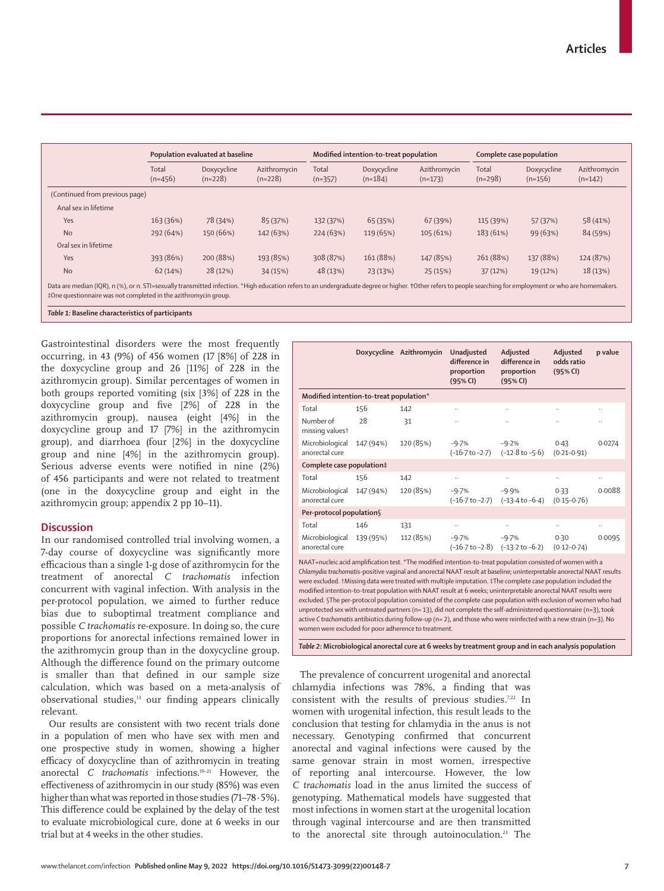|                                |                    | Population evaluated at baseline |                           |                    | Modified intention-to-treat population |                           |                    | Complete case population |                           |  |
|--------------------------------|--------------------|----------------------------------|---------------------------|--------------------|----------------------------------------|---------------------------|--------------------|--------------------------|---------------------------|--|
|                                | Total<br>$(n=456)$ | Doxycycline<br>$(n=228)$         | Azithromycin<br>$(n=228)$ | Total<br>$(n=357)$ | Doxycycline<br>$(n=184)$               | Azithromycin<br>$(n=173)$ | Total<br>$(n=298)$ | Doxycycline<br>$(n=156)$ | Azithromycin<br>$(n=142)$ |  |
| (Continued from previous page) |                    |                                  |                           |                    |                                        |                           |                    |                          |                           |  |
| Anal sex in lifetime           |                    |                                  |                           |                    |                                        |                           |                    |                          |                           |  |
| Yes                            | 163 (36%)          | 78 (34%)                         | 85 (37%)                  | 132 (37%)          | 65 (35%)                               | 67 (39%)                  | 115 (39%)          | 57 (37%)                 | 58 (41%)                  |  |
| <b>No</b>                      | 292 (64%)          | 150 (66%)                        | 142 (63%)                 | 224(63%)           | 119 (65%)                              | 105 (61%)                 | 183 (61%)          | 99 (63%)                 | 84 (59%)                  |  |
| Oral sex in lifetime           |                    |                                  |                           |                    |                                        |                           |                    |                          |                           |  |
| Yes                            | 393 (86%)          | 200 (88%)                        | 193 (85%)                 | 308 (87%)          | 161 (88%)                              | 147 (85%)                 | 261 (88%)          | 137 (88%)                | 124 (87%)                 |  |
| <b>No</b>                      | 62(14%)            | 28 (12%)                         | 34 (15%)                  | 48 (13%)           | 23 (13%)                               | 25 (15%)                  | 37(12%)            | 19 (12%)                 | 18 (13%)                  |  |

*Table 1:* **Baseline characteristics of participants**

Gastrointestinal disorders were the most frequently occurring, in 43 (9%) of 456 women (17 [8%] of 228 in the doxycycline group and 26 [11%] of 228 in the azithromycin group). Similar percentages of women in both groups reported vomiting (six [3%] of 228 in the doxycycline group and five [2%] of 228 in the azithromycin group), nausea (eight [4%] in the doxycycline group and 17 [7%] in the azithromycin group), and diarrhoea (four [2%] in the doxycycline group and nine [4%] in the azithromycin group). Serious adverse events were notified in nine (2%) of 456 participants and were not related to treatment (one in the doxycycline group and eight in the azithromycin group; appendix 2 pp 10–11).

# **Discussion**

In our randomised controlled trial involving women, a 7-day course of doxycycline was significantly more efficacious than a single 1-g dose of azithromycin for the treatment of anorectal *C trachomatis* infection concurrent with vaginal infection. With analysis in the per-protocol population, we aimed to further reduce bias due to suboptimal treatment compliance and possible *C trachomatis* re-exposure. In doing so, the cure proportions for anorectal infections remained lower in the azithromycin group than in the doxycycline group. Although the difference found on the primary outcome is smaller than that defined in our sample size calculation, which was based on a meta-analysis of observational studies,<sup>13</sup> our finding appears clinically relevant.

Our results are consistent with two recent trials done in a population of men who have sex with men and one prospective study in women, showing a higher efficacy of doxycycline than of azithromycin in treating anorectal *C trachomatis* infections.19–21 However, the effectiveness of azithromycin in our study (85%) was even higher than what was reported in those studies (71–78·5%). This difference could be explained by the delay of the test to evaluate microbiological cure, done at 6 weeks in our trial but at 4 weeks in the other studies.

|                                         |           | Doxycycline Azithromycin | Unadjusted<br>difference in<br>proportion<br>(95% CI) | Adjusted<br>difference in<br>proportion<br>(95% CI)              | Adjusted<br>odds ratio<br>(95% CI) | p value       |
|-----------------------------------------|-----------|--------------------------|-------------------------------------------------------|------------------------------------------------------------------|------------------------------------|---------------|
| Modified intention-to-treat population* |           |                          |                                                       |                                                                  |                                    |               |
| Total                                   | 156       | 142                      | $\ldots$                                              |                                                                  | $\ldots$                           | $\ddotsc$     |
| Number of<br>missing valuest            | 28        | 31                       |                                                       |                                                                  |                                    | $\cdot$       |
| Microbiological<br>anorectal cure       | 147 (94%) | 120 (85%)                | $-9.7%$<br>(–16·7 to –2·7)                            | $-9.2%$<br>$(-12.8 \text{ to } -5.6)$                            | 0.43<br>$(0.21 - 0.91)$            | 0.0274        |
| Complete case population‡               |           |                          |                                                       |                                                                  |                                    |               |
| Total                                   | 156       | 142                      | $\ldots$                                              | $\ddotsc$                                                        | $\ldots$                           | $\cdot \cdot$ |
| Microbiological<br>anorectal cure       | 147 (94%) | 120 (85%)                | $-9.7%$                                               | $-9.9%$<br>$(-16.7 \text{ to } -2.7)$ $(-13.4 \text{ to } -6.4)$ | 0.33<br>$(0.15 - 0.76)$            | 0.0088        |
| Per-protocol population§                |           |                          |                                                       |                                                                  |                                    |               |
| Total                                   | 146       | 131                      | $\ldots$                                              | $\ddotsc$                                                        | $\ldots$                           | $\cdot \cdot$ |
| Microbiological<br>anorectal cure       | 139 (95%) | 112 (85%)                | $-9.7%$<br>$(-16.7 \text{ to } -2.8)$                 | $-9.7%$<br>$(-13.2 \text{ to } -6.2)$                            | 0.30<br>$(0.12 - 0.74)$            | 0.0095        |

NAAT=nucleic acid amplification test. \*The modified intention-to-treat population consisted of women with a *Chlamydia trachomatis*-positive vaginal and anorectal NAAT result at baseline; uninterpretable anorectal NAAT results were excluded. †Missing data were treated with multiple imputation. ‡The complete case population included the modified intention-to-treat population with NAAT result at 6 weeks; uninterpretable anorectal NAAT results were excluded. §The per-protocol population consisted of the complete case population with exclusion of women who had unprotected sex with untreated partners (n= 13), did not complete the self-administered questionnaire (n=3), took active *C trachomatis* antibiotics during follow-up (n= 2), and those who were reinfected with a new strain (n=3). No women were excluded for poor adherence to treatment.

*Table 2:* **Microbiological anorectal cure at 6 weeks by treatment group and in each analysis population**

The prevalence of concurrent urogenital and anorectal chlamydia infections was 78%, a finding that was consistent with the results of previous studies.<sup>7,22</sup> In women with urogenital infection, this result leads to the conclusion that testing for chlamydia in the anus is not necessary. Genotyping confirmed that concurrent anorectal and vaginal infections were caused by the same genovar strain in most women, irrespective of reporting anal intercourse. However, the low *C trachomatis* load in the anus limited the success of genotyping. Mathematical models have suggested that most infections in women start at the urogenital location through vaginal intercourse and are then transmitted to the anorectal site through autoinoculation.<sup>23</sup> The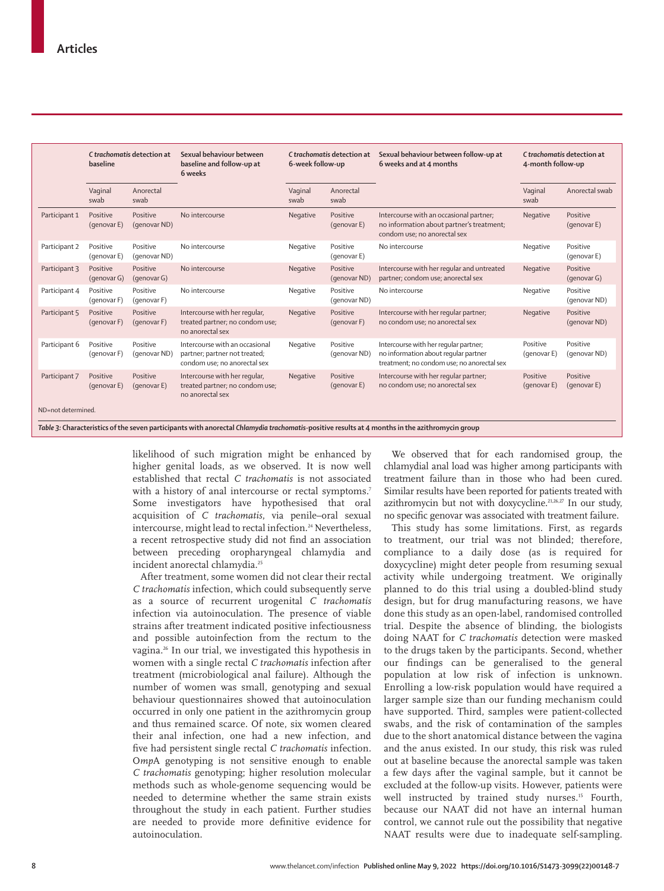|                    | C trachomatis detection at<br>baseline |                          | Sexual behaviour between<br>baseline and follow-up at<br>6 weeks                                | C trachomatis detection at<br>6-week follow-up |                          | Sexual behaviour between follow-up at<br>6 weeks and at 4 months                                                            | C trachomatis detection at<br>4-month follow-up |                          |
|--------------------|----------------------------------------|--------------------------|-------------------------------------------------------------------------------------------------|------------------------------------------------|--------------------------|-----------------------------------------------------------------------------------------------------------------------------|-------------------------------------------------|--------------------------|
|                    | Vaginal<br>swab                        | Anorectal<br>swab        |                                                                                                 | Vaginal<br>swab                                | Anorectal<br>swab        |                                                                                                                             | Vaginal<br>swab                                 | Anorectal swab           |
| Participant 1      | Positive<br>(genovar E)                | Positive<br>(genovar ND) | No intercourse                                                                                  | Negative                                       | Positive<br>(genovar E)  | Intercourse with an occasional partner;<br>no information about partner's treatment;<br>condom use; no anorectal sex        | Negative                                        | Positive<br>(genovar E)  |
| Participant 2      | Positive<br>(genovar E)                | Positive<br>(genovar ND) | No intercourse                                                                                  | Negative                                       | Positive<br>(genovar E)  | No intercourse                                                                                                              | Negative                                        | Positive<br>(genovar E)  |
| Participant 3      | Positive<br>(genovar G)                | Positive<br>(genovar G)  | No intercourse                                                                                  | Negative                                       | Positive<br>(genovar ND) | Intercourse with her regular and untreated<br>partner; condom use; anorectal sex                                            | Negative                                        | Positive<br>(genovar G)  |
| Participant 4      | Positive<br>(genovar F)                | Positive<br>(genovar F)  | No intercourse                                                                                  | Negative                                       | Positive<br>(genovar ND) | No intercourse                                                                                                              | Negative                                        | Positive<br>(genovar ND) |
| Participant 5      | Positive<br>(genovar F)                | Positive<br>(genovar F)  | Intercourse with her regular,<br>treated partner; no condom use;<br>no anorectal sex            | Negative                                       | Positive<br>(genovar F)  | Intercourse with her regular partner;<br>no condom use; no anorectal sex                                                    | Negative                                        | Positive<br>(genovar ND) |
| Participant 6      | Positive<br>(genovar F)                | Positive<br>(genovar ND) | Intercourse with an occasional<br>partner; partner not treated;<br>condom use; no anorectal sex | Negative                                       | Positive<br>(genovar ND) | Intercourse with her regular partner;<br>no information about regular partner<br>treatment; no condom use; no anorectal sex | Positive<br>(genovar E)                         | Positive<br>(genovar ND) |
| Participant 7      | Positive<br>(genovar E)                | Positive<br>(genovar E)  | Intercourse with her regular,<br>treated partner; no condom use;<br>no anorectal sex            | Negative                                       | Positive<br>(genovar E)  | Intercourse with her regular partner;<br>no condom use; no anorectal sex                                                    | Positive<br>(genovar E)                         | Positive<br>(genovar E)  |
| ND=not determined. |                                        |                          |                                                                                                 |                                                |                          |                                                                                                                             |                                                 |                          |

likelihood of such migration might be enhanced by higher genital loads, as we observed. It is now well established that rectal *C trachomatis* is not associated with a history of anal intercourse or rectal symptoms.<sup>7</sup> Some investigators have hypothesised that oral acquisition of *C trachomatis*, via penile–oral sexual intercourse, might lead to rectal infection.<sup>24</sup> Nevertheless, a recent retrospective study did not find an association between preceding oropharyngeal chlamydia and incident anorectal chlamydia.<sup>25</sup>

After treatment, some women did not clear their rectal *C trachomatis* infection, which could subsequently serve as a source of recurrent urogenital *C trachomatis* infection via autoinoculation. The presence of viable strains after treatment indicated positive infectiousness and possible autoinfection from the rectum to the vagina.26 In our trial, we investigated this hypothesis in women with a single rectal *C trachomatis* infection after treatment (microbiological anal failure). Although the number of women was small, genotyping and sexual behaviour questionnaires showed that autoinoculation occurred in only one patient in the azithromycin group and thus remained scarce. Of note, six women cleared their anal infection, one had a new infection, and five had persistent single rectal *C trachomatis* infection*.* O*mp*A genotyping is not sensitive enough to enable *C trachomatis* genotyping; higher resolution molecular methods such as whole-genome sequencing would be needed to determine whether the same strain exists throughout the study in each patient. Further studies are needed to provide more definitive evidence for autoinoculation.

We observed that for each randomised group, the chlamydial anal load was higher among participants with treatment failure than in those who had been cured. Similar results have been reported for patients treated with azithromycin but not with doxycycline.<sup>21,26,27</sup> In our study, no specific genovar was associated with treatment failure.

This study has some limitations. First, as regards to treatment, our trial was not blinded; therefore, compliance to a daily dose (as is required for doxycycline) might deter people from resuming sexual activity while undergoing treatment. We originally planned to do this trial using a doubled-blind study design, but for drug manufacturing reasons, we have done this study as an open-label, randomised controlled trial. Despite the absence of blinding, the biologists doing NAAT for *C trachomatis* detection were masked to the drugs taken by the participants. Second, whether our findings can be generalised to the general population at low risk of infection is unknown. Enrolling a low-risk population would have required a larger sample size than our funding mechanism could have supported. Third, samples were patient-collected swabs, and the risk of contamination of the samples due to the short anatomical distance between the vagina and the anus existed. In our study, this risk was ruled out at baseline because the anorectal sample was taken a few days after the vaginal sample, but it cannot be excluded at the follow-up visits. However, patients were well instructed by trained study nurses.<sup>15</sup> Fourth, because our NAAT did not have an internal human control, we cannot rule out the possibility that negative NAAT results were due to inadequate self-sampling.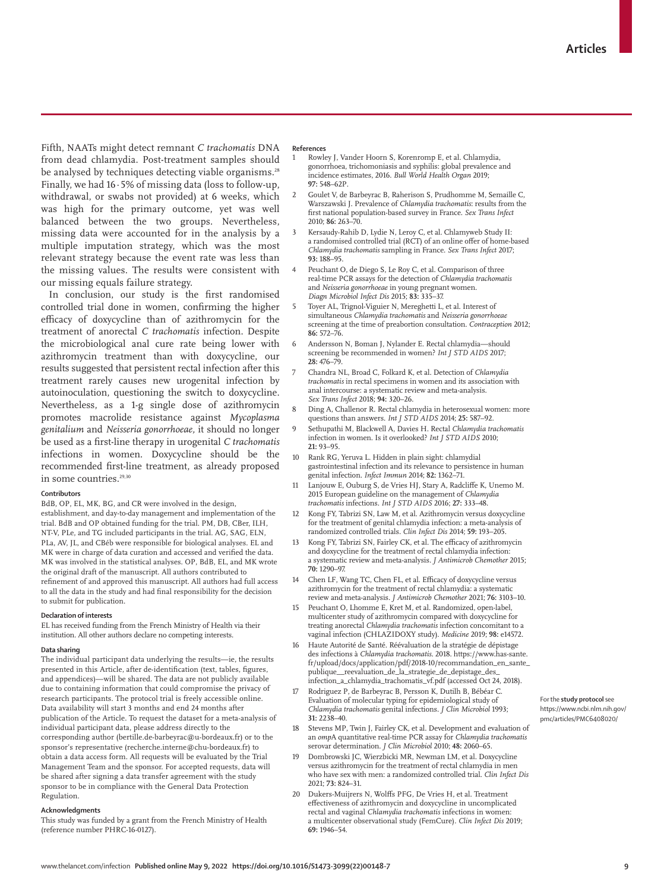Fifth, NAATs might detect remnant *C trachomatis* DNA from dead chlamydia. Post-treatment samples should be analysed by techniques detecting viable organisms.<sup>28</sup> Finally, we had 16∙5% of missing data (loss to follow-up, withdrawal, or swabs not provided) at 6 weeks, which was high for the primary outcome, yet was well balanced between the two groups. Nevertheless, missing data were accounted for in the analysis by a multiple imputation strategy, which was the most relevant strategy because the event rate was less than the missing values. The results were consistent with our missing equals failure strategy.

In conclusion, our study is the first randomised controlled trial done in women, confirming the higher efficacy of doxycycline than of azithromycin for the treatment of anorectal *C trachomatis* infection. Despite the microbiological anal cure rate being lower with azithromycin treatment than with doxycycline, our results suggested that persistent rectal infection after this treatment rarely causes new urogenital infection by autoinoculation, questioning the switch to doxycycline. Nevertheless, as a 1-g single dose of azithromycin promotes macrolide resistance against *Mycoplasma genitalium* and *Neisseria gonorrhoeae,* it should no longer be used as a first-line therapy in urogenital *C trachomatis* infections in women. Doxycycline should be the recommended first-line treatment, as already proposed in some countries.<sup>29,30</sup>

#### **Contributors**

BdB, OP, EL, MK, BG, and CR were involved in the design,

establishment, and day-to-day management and implementation of the trial. BdB and OP obtained funding for the trial. PM, DB, CBer, ILH, NT-V, PLe, and TG included participants in the trial. AG, SAG, ELN, PLa, AV, JL, and CBéb were responsible for biological analyses. EL and MK were in charge of data curation and accessed and verified the data. MK was involved in the statistical analyses. OP, BdB, EL, and MK wrote the original draft of the manuscript. All authors contributed to refinement of and approved this manuscript. All authors had full access to all the data in the study and had final responsibility for the decision to submit for publication.

#### **Declaration of interests**

EL has received funding from the French Ministry of Health via their institution. All other authors declare no competing interests.

### **Data sharing**

The individual participant data underlying the results—ie, the results presented in this Article, after de-identification (text, tables, figures, and appendices)—will be shared. The data are not publicly available due to containing information that could compromise the privacy of research participants. The protocol trial is freely accessible [online](https://www.ncbi.nlm.nih.gov/pmc/articles/PMC6408020/). Data availability will start 3 months and end 24 months after publication of the Article. To request the dataset for a meta-analysis of individual participant data, please address directly to the corresponding author (bertille.de-barbeyrac@u-bordeaux.fr) or to the sponsor's representative (recherche.interne@chu-bordeaux.fr) to obtain a data access form. All requests will be evaluated by the Trial Management Team and the sponsor. For accepted requests, data will be shared after signing a data transfer agreement with the study sponsor to be in compliance with the General Data Protection Regulation.

#### **Acknowledgments**

This study was funded by a grant from the French Ministry of Health (reference number PHRC-16-0127).

#### **References**

- 1 Rowley J, Vander Hoorn S, Korenromp E, et al. Chlamydia, gonorrhoea, trichomoniasis and syphilis: global prevalence and incidence estimates, 2016. *Bull World Health Organ* 2019; **97:** 548–62P.
- 2 Goulet V, de Barbeyrac B, Raherison S, Prudhomme M, Semaille C, Warszawski J. Prevalence of *Chlamydia trachomatis*: results from the first national population-based survey in France. *Sex Trans Infect* 2010; **86:** 263–70.
- 3 Kersaudy-Rahib D, Lydie N, Leroy C, et al. Chlamyweb Study II: a randomised controlled trial (RCT) of an online offer of home-based *Chlamydia trachomatis* sampling in France. *Sex Trans Infect* 2017; **93:** 188–95.
- Peuchant O, de Diego S, Le Roy C, et al. Comparison of three real-time PCR assays for the detection of *Chlamydia trachomatis* and *Neisseria gonorrhoeae* in young pregnant women. *Diagn Microbiol Infect Dis* 2015; **83:** 335–37.
- 5 Toyer AL, Trignol-Viguier N, Mereghetti L, et al. Interest of simultaneous *Chlamydia trachomatis* and *Neisseria gonorrhoeae*  screening at the time of preabortion consultation. *Contraception* 2012; **86:** 572–76.
- 6 Andersson N, Boman J, Nylander E. Rectal chlamydia—should screening be recommended in women? *Int J STD AIDS* 2017; **28:** 476–79.
- 7 Chandra NL, Broad C, Folkard K, et al. Detection of *Chlamydia trachomatis* in rectal specimens in women and its association with anal intercourse: a systematic review and meta-analysis. *Sex Trans Infect* 2018; **94:** 320–26.
- 8 Ding A, Challenor R. Rectal chlamydia in heterosexual women: more questions than answers. *Int J STD AIDS* 2014; **25:** 587–92.
- 9 Sethupathi M, Blackwell A, Davies H. Rectal *Chlamydia trachomatis* infection in women. Is it overlooked? *Int J STD AIDS* 2010; **21:** 93–95.
- 10 Rank RG, Yeruva L. Hidden in plain sight: chlamydial gastrointestinal infection and its relevance to persistence in human genital infection. *Infect Immun* 2014; **82:** 1362–71.
- Lanjouw E, Ouburg S, de Vries HJ, Stary A, Radcliffe K, Unemo M. 2015 European guideline on the management of *Chlamydia trachomatis* infections. *Int J STD AIDS* 2016; **27:** 333–48.
- Kong FY, Tabrizi SN, Law M, et al. Azithromycin versus doxycycline for the treatment of genital chlamydia infection: a meta-analysis of randomized controlled trials. *Clin Infect Dis* 2014; **59:** 193–205.
- 13 Kong FY, Tabrizi SN, Fairley CK, et al. The efficacy of azithromycin and doxycycline for the treatment of rectal chlamydia infection: a systematic review and meta-analysis. *J Antimicrob Chemother* 2015; **70:** 1290–97.
- 14 Chen LF, Wang TC, Chen FL, et al. Efficacy of doxycycline versus azithromycin for the treatment of rectal chlamydia: a systematic review and meta-analysis. *J Antimicrob Chemother* 2021; **76:** 3103–10.
- 15 Peuchant O, Lhomme E, Kret M, et al. Randomized, open-label, multicenter study of azithromycin compared with doxycycline for treating anorectal *Chlamydia trachomatis* infection concomitant to a vaginal infection (CHLAZIDOXY study). *Medicine* 2019; **98:** e14572.
- 16 Haute Autorité de Santé. Réévaluation de la stratégie de dépistage des infections à *Chlamydia trachomatis*. 2018. https://www.has-sante. fr/upload/docs/application/pdf/2018-10/recommandation\_en\_sante\_ publique\_\_reevaluation\_de\_la\_strategie\_de\_depistage\_des\_ infection\_a\_chlamydia\_trachomatis\_vf.pdf (accessed Oct 24, 2018).
- 17 Rodriguez P, de Barbeyrac B, Persson K, Dutilh B, Bébéar C. Evaluation of molecular typing for epidemiological study of *Chlamydia trachomatis* genital infections. *J Clin Microbiol* 1993; **31:** 2238–40.
- 18 Stevens MP, Twin J, Fairley CK, et al. Development and evaluation of an *omp*A quantitative real-time PCR assay for *Chlamydia trachomatis* serovar determination. *J Clin Microbiol* 2010; **48:** 2060–65.
- 19 Dombrowski JC, Wierzbicki MR, Newman LM, et al. Doxycycline versus azithromycin for the treatment of rectal chlamydia in men who have sex with men: a randomized controlled trial. *Clin Infect Dis* 2021; **73:** 824–31.
- 20 Dukers-Muijrers N, Wolffs PFG, De Vries H, et al. Treatment effectiveness of azithromycin and doxycycline in uncomplicated rectal and vaginal *Chlamydia trachomatis* infections in women: a multicenter observational study (FemCure). *Clin Infect Dis* 2019; **69:** 1946–54.

For the **study protocol** see [https://www.ncbi.nlm.nih.gov/](https://www.ncbi.nlm.nih.gov/pmc/articles/PMC6408020/) [pmc/articles/PMC6408020/](https://www.ncbi.nlm.nih.gov/pmc/articles/PMC6408020/)